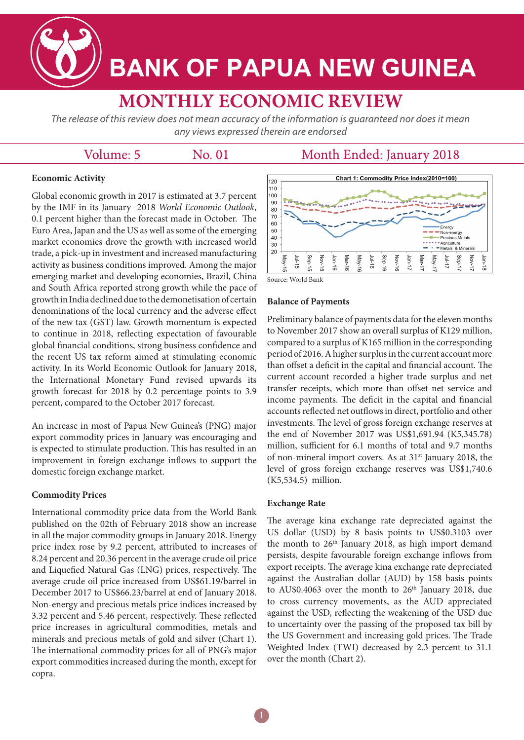**BANK OF PAPUA NEW GUINEA** 

# **MONTHLY ECONOMIC REVIEW**

The release of this review does not mean accuracy of the information is guaranteed nor does it mean any views expressed therein are endorsed

# Volume: 5

No. 01

# Month Ended: January 2018

# **Economic Activity**

Global economic growth in 2017 is estimated at 3.7 percent by the IMF in its January 2018 *World Economic Outlook*, 0.1 percent higher than the forecast made in October. The Euro Area, Japan and the US as well as some of the emerging market economies drove the growth with increased world trade, a pick-up in investment and increased manufacturing activity as business conditions improved. Among the major emerging market and developing economies, Brazil, China and South Africa reported strong growth while the pace of growth in India declined due to the demonetisation of certain denominations of the local currency and the adverse effect of the new tax (GST) law. Growth momentum is expected to continue in 2018, reflecting expectation of favourable global financial conditions, strong business confidence and the recent US tax reform aimed at stimulating economic activity. In its World Economic Outlook for January 2018, the International Monetary Fund revised upwards its growth forecast for 2018 by 0.2 percentage points to 3.9 percent, compared to the October 2017 forecast.

An increase in most of Papua New Guinea's (PNG) major export commodity prices in January was encouraging and is expected to stimulate production. This has resulted in an improvement in foreign exchange inflows to support the domestic foreign exchange market.

## **Commodity Prices**

International commodity price data from the World Bank published on the 02th of February 2018 show an increase in all the major commodity groups in January 2018. Energy price index rose by 9.2 percent, attributed to increases of 8.24 percent and 20.36 percent in the average crude oil price and Liquefied Natural Gas (LNG) prices, respectively. The average crude oil price increased from US\$61.19/barrel in December 2017 to US\$66.23/barrel at end of January 2018. Non-energy and precious metals price indices increased by 3.32 percent and 5.46 percent, respectively. These reflected price increases in agricultural commodities, metals and minerals and precious metals of gold and silver (Chart 1). The international commodity prices for all of PNG's major export commodities increased during the month, except for copra.



Source: World Bank

### **Balance of Payments**

Preliminary balance of payments data for the eleven months to November 2017 show an overall surplus of K129 million, compared to a surplus of K165 million in the corresponding period of 2016. A higher surplus in the current account more than offset a deficit in the capital and financial account. The current account recorded a higher trade surplus and net transfer receipts, which more than offset net service and income payments. The deficit in the capital and financial accounts reflected net outflows in direct, portfolio and other investments. The level of gross foreign exchange reserves at the end of November 2017 was US\$1,691.94 (K5,345.78) million, sufficient for 6.1 months of total and 9.7 months of non-mineral import covers. As at 31<sup>st</sup> January 2018, the level of gross foreign exchange reserves was US\$1,740.6 (K5,534.5) million.

#### **Exchange Rate**

The average kina exchange rate depreciated against the US dollar (USD) by 8 basis points to US\$0.3103 over the month to  $26<sup>th</sup>$  January 2018, as high import demand persists, despite favourable foreign exchange inflows from export receipts. The average kina exchange rate depreciated against the Australian dollar (AUD) by 158 basis points to AU\$0.4063 over the month to  $26<sup>th</sup>$  January 2018, due to cross currency movements, as the AUD appreciated against the USD, reflecting the weakening of the USD due to uncertainty over the passing of the proposed tax bill by the US Government and increasing gold prices. The Trade Weighted Index (TWI) decreased by 2.3 percent to 31.1 over the month (Chart 2).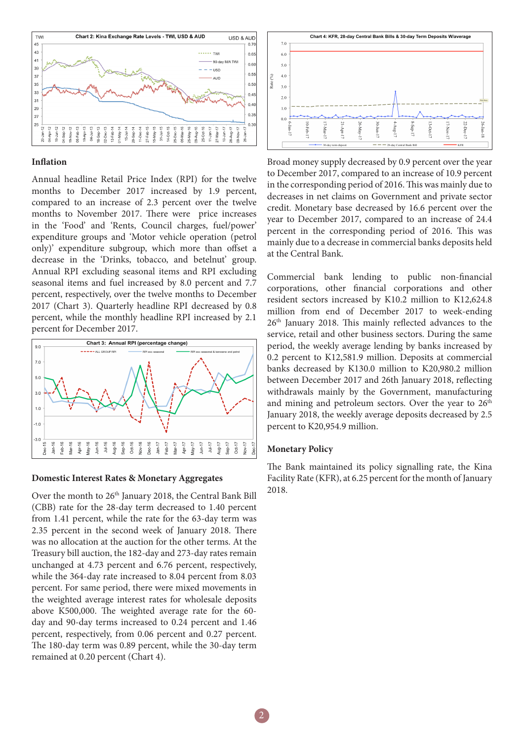

#### **Inflation**

Annual headline Retail Price Index (RPI) for the twelve months to December 2017 increased by 1.9 percent, compared to an increase of 2.3 percent over the twelve months to November 2017. There were price increases in the 'Food' and 'Rents, Council charges, fuel/power' expenditure groups and 'Motor vehicle operation (petrol only)' expenditure subgroup, which more than offset a decrease in the 'Drinks, tobacco, and betelnut' group. Annual RPI excluding seasonal items and RPI excluding seasonal items and fuel increased by 8.0 percent and 7.7 percent, respectively, over the twelve months to December 2017 (Chart 3). Quarterly headline RPI decreased by 0.8 percent, while the monthly headline RPI increased by 2.1 percent for December 2017.



#### **Domestic Interest Rates & Monetary Aggregates**

Over the month to 26<sup>th</sup> January 2018, the Central Bank Bill (CBB) rate for the 28-day term decreased to 1.40 percent from 1.41 percent, while the rate for the 63-day term was 2.35 percent in the second week of January 2018. There was no allocation at the auction for the other terms. At the Treasury bill auction, the 182-day and 273-day rates remain unchanged at 4.73 percent and 6.76 percent, respectively, while the 364-day rate increased to 8.04 percent from 8.03 percent. For same period, there were mixed movements in the weighted average interest rates for wholesale deposits above K500,000. The weighted average rate for the 60 day and 90-day terms increased to 0.24 percent and 1.46 percent, respectively, from 0.06 percent and 0.27 percent. The 180-day term was 0.89 percent, while the 30-day term remained at 0.20 percent (Chart 4).



Broad money supply decreased by 0.9 percent over the year to December 2017, compared to an increase of 10.9 percent in the corresponding period of 2016. This was mainly due to decreases in net claims on Government and private sector credit. Monetary base decreased by 16.6 percent over the year to December 2017, compared to an increase of 24.4 percent in the corresponding period of 2016. This was mainly due to a decrease in commercial banks deposits held at the Central Bank.

Commercial bank lending to public non-financial corporations, other financial corporations and other resident sectors increased by K10.2 million to K12,624.8 million from end of December 2017 to week-ending 26th January 2018. This mainly reflected advances to the service, retail and other business sectors. During the same period, the weekly average lending by banks increased by 0.2 percent to K12,581.9 million. Deposits at commercial banks decreased by K130.0 million to K20,980.2 million between December 2017 and 26th January 2018, reflecting withdrawals mainly by the Government, manufacturing and mining and petroleum sectors. Over the year to  $26<sup>th</sup>$ January 2018, the weekly average deposits decreased by 2.5 percent to K20,954.9 million.

#### **Monetary Policy**

The Bank maintained its policy signalling rate, the Kina Facility Rate (KFR), at 6.25 percent for the month of January 2018.